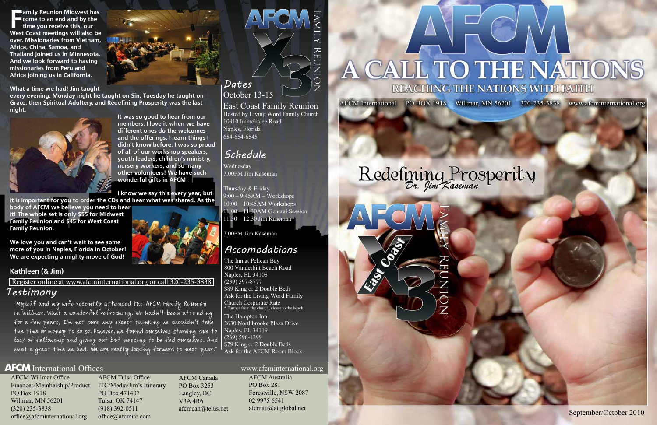September/October 2010

AFCM International PO BOX 1918 Willmar, MN 56201 320-235-3838 www.afcminternational.org

AFCM Willmar Office Finances/Membership/Product ITC/Media/Jim's Itinerary PO Box 1918 Willmar, MN 56201 (320) 235-3838 office@afcminternational.org

AFCM Tulsa Office PO Box 471407 Tulsa, OK 74147 (918) 392-0511 office@afcmitc.com

AFCM Canada PO Box 3253 Langley, BC V3A 4R6 afcmcan@telus.net REUN

 $\overline{\circ}$ 

**FR** amily Reunion Midwest has<br> **FR come to an end and by the<br>
time you receive this, our<br>
West Coast meetings will also be amily Reunion Midwest has come to an end and by the time you receive this, our over. Missionaries from Vietnam, Africa, China, Samoa, and Thailand joined us in Minnesota. And we look forward to having missionaries from Peru and Africa joining us in California.** 

AFCM Australia PO Box 281 Forestville, NSW 2087 02 9975 6541 afcmau@attglobal.net

# A CALL TO THE NATIONS REACHING THE NATIONS WITH FAITH

# Redefining Prosperity





**What a time we had! Jim taught** 

**every evening. Monday night he taught on Sin, Tuesday he taught on Grace, then Spiritual Adultery, and Redefining Prosperity was the last night.**



**It was so good to hear from our members. I love it when we have different ones do the welcomes and the offerings. I learn things I didn't know before. I was so proud of all of our workshop speakers, youth leaders, children's ministry, nursery workers, and so many other volunteers! We have such wonderful gifts in AFCM!**

**I know we say this every year, but** 

**it is important for you to order the CDs and hear what was shared. As the** 

**body of AFCM we believe you need to hear it! The whole set is only \$55 for Midwest Family Reunion and \$45 for West Coast Family Reunion.**

**We love you and can't wait to see some more of you in Naples, Florida in October! We are expecting a mighty move of God!**

#### **Kathleen (& Jim)**

October 13-15 East Coast Family Reunion Hosted by Living Word Family Church 10910 Immokalee Road Naples, Florida 654-654-6545

The Inn at Pelican Bay 800 Vanderbilt Beach Road Naples, FL 34108 (239) 597-8777 \$89 King or 2 Double Beds Ask for the Living Word Family Church Corporate Rate \* Further from the church, closer to the beach.

The Hampton Inn 2630 Northbrooke Plaza Drive Naples, FL 34119 (239) 596-1299 \$79 King or 2 Double Beds Ask for the AFCM Room Block

Wednesday 7:00PM Jim Kaseman

Thursday & Friday 9:00 – 9:45AM – Workshops 10:00 – 10:45AM Workshops 11:00 – 11:30AM General Session 11:30 – 12:30 Jim Kaseman

7:00PM Jim Kaseman

# *Dates*

# *Schedule*

# *Accomodations*

"Myself and my wife recently attended the AFCM Family Reunion in Willmar. What a wonderful refreshing. We hadn't been attending for a few years, I'm not sure why except thinking we shouldn't take the time or money to do so. However, we found ourselves starving due to lack of fellowship and giving out but needing to be fed ourselves. And what a great time we had. We are really looking forward to next year."

## **AFCM** International Offices www.afcminternational.org

*Testimony* Register online at www.afcminternational.org or call 320-235-3838